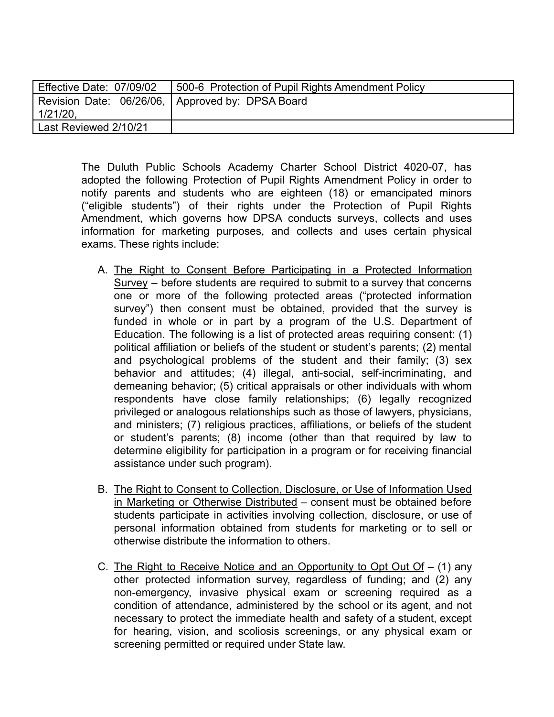| Effective Date: 07/09/02 | 500-6 Protection of Pupil Rights Amendment Policy  |
|--------------------------|----------------------------------------------------|
|                          | Revision Date: 06/26/06,   Approved by: DPSA Board |
| $1/21/20$ ,              |                                                    |
| Last Reviewed 2/10/21    |                                                    |

The Duluth Public Schools Academy Charter School District 4020-07, has adopted the following Protection of Pupil Rights Amendment Policy in order to notify parents and students who are eighteen (18) or emancipated minors ("eligible students") of their rights under the Protection of Pupil Rights Amendment, which governs how DPSA conducts surveys, collects and uses information for marketing purposes, and collects and uses certain physical exams. These rights include:

- A. The Right to Consent Before Participating in a Protected Information Survey – before students are required to submit to a survey that concerns one or more of the following protected areas ("protected information survey") then consent must be obtained, provided that the survey is funded in whole or in part by a program of the U.S. Department of Education. The following is a list of protected areas requiring consent: (1) political affiliation or beliefs of the student or student's parents; (2) mental and psychological problems of the student and their family; (3) sex behavior and attitudes; (4) illegal, anti-social, self-incriminating, and demeaning behavior; (5) critical appraisals or other individuals with whom respondents have close family relationships; (6) legally recognized privileged or analogous relationships such as those of lawyers, physicians, and ministers; (7) religious practices, affiliations, or beliefs of the student or student's parents; (8) income (other than that required by law to determine eligibility for participation in a program or for receiving financial assistance under such program).
- B. The Right to Consent to Collection, Disclosure, or Use of Information Used in Marketing or Otherwise Distributed – consent must be obtained before students participate in activities involving collection, disclosure, or use of personal information obtained from students for marketing or to sell or otherwise distribute the information to others.
- C. The Right to Receive Notice and an Opportunity to Opt Out  $Of (1)$  any other protected information survey, regardless of funding; and (2) any non-emergency, invasive physical exam or screening required as a condition of attendance, administered by the school or its agent, and not necessary to protect the immediate health and safety of a student, except for hearing, vision, and scoliosis screenings, or any physical exam or screening permitted or required under State law.